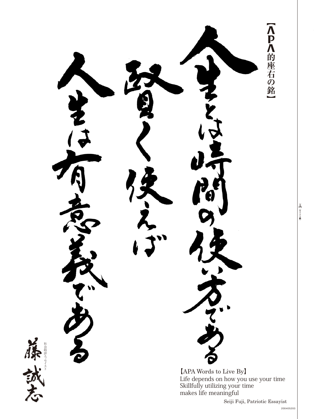<Pへ的座右の銘  $[APA$  Words to Live By Life depends on how you use your time Skillfully utilizing your time makes life meaningful

セイスト ッ 社会時評エ

8 全りトリ線